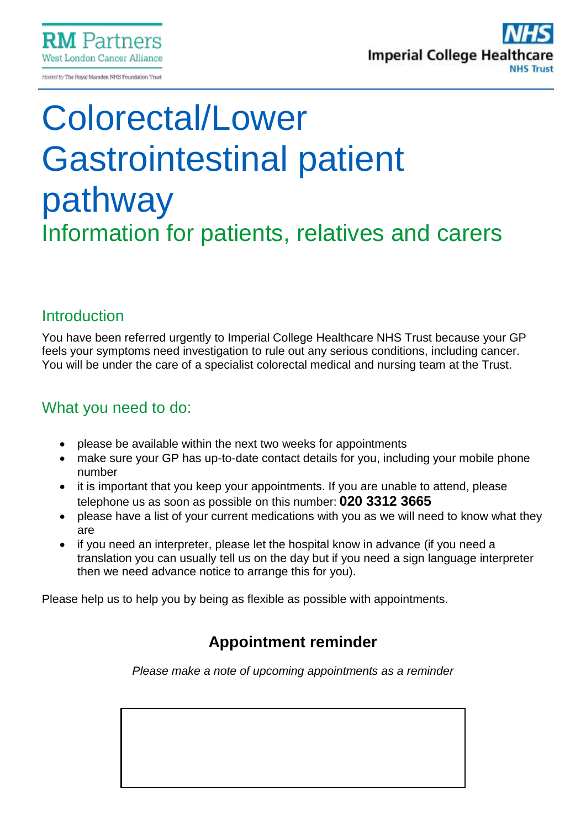

# Colorectal/Lower Gastrointestinal patient pathway Information for patients, relatives and carers

# **Introduction**

You have been referred urgently to Imperial College Healthcare NHS Trust because your GP feels your symptoms need investigation to rule out any serious conditions, including cancer. You will be under the care of a specialist colorectal medical and nursing team at the Trust.

# What you need to do:

- please be available within the next two weeks for appointments
- make sure your GP has up-to-date contact details for you, including your mobile phone number
- it is important that you keep your appointments. If you are unable to attend, please telephone us as soon as possible on this number: **020 3312 3665**
- please have a list of your current medications with you as we will need to know what they are
- if you need an interpreter, please let the hospital know in advance (if you need a translation you can usually tell us on the day but if you need a sign language interpreter then we need advance notice to arrange this for you).

Please help us to help you by being as flexible as possible with appointments.

# **Appointment reminder**

*Please make a note of upcoming appointments as a reminder*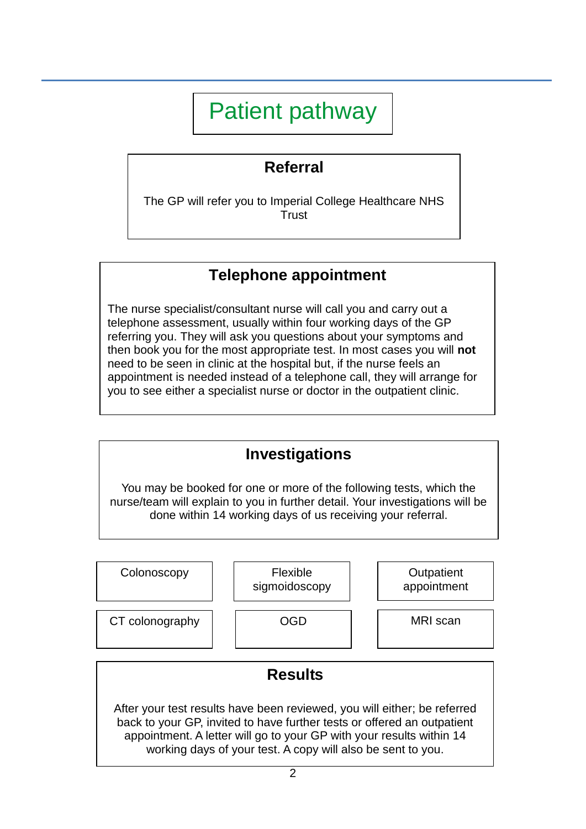# Patient pathway

# **Referral**

The GP will refer you to Imperial College Healthcare NHS **Trust** 

# **Telephone appointment**

The nurse specialist/consultant nurse will call you and carry out a telephone assessment, usually within four working days of the GP referring you. They will ask you questions about your symptoms and then book you for the most appropriate test. In most cases you will **not** need to be seen in clinic at the hospital but, if the nurse feels an appointment is needed instead of a telephone call, they will arrange for you to see either a specialist nurse or doctor in the outpatient clinic.



**Colonoscopy** CT colonography | | OGD Flexible sigmoidoscopy **Outpatient** appointment MRI scan **Results**  After your test results have been reviewed, you will either; be referred back to your GP, invited to have further tests or offered an outpatient appointment. A letter will go to your GP with your results within 14 working days of your test. A copy will also be sent to you.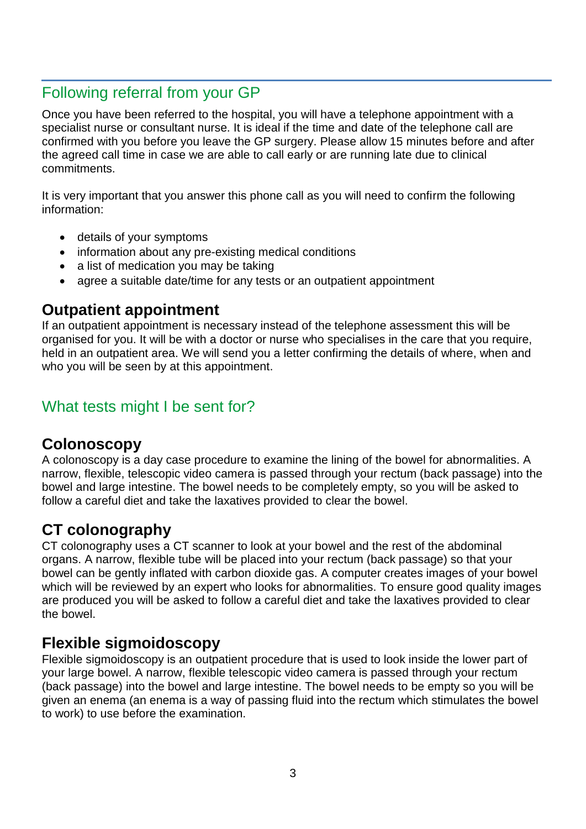## Following referral from your GP

Once you have been referred to the hospital, you will have a telephone appointment with a specialist nurse or consultant nurse. It is ideal if the time and date of the telephone call are confirmed with you before you leave the GP surgery. Please allow 15 minutes before and after the agreed call time in case we are able to call early or are running late due to clinical commitments.

It is very important that you answer this phone call as you will need to confirm the following information:

- details of your symptoms
- information about any pre-existing medical conditions
- a list of medication you may be taking
- agree a suitable date/time for any tests or an outpatient appointment

#### **Outpatient appointment**

If an outpatient appointment is necessary instead of the telephone assessment this will be organised for you. It will be with a doctor or nurse who specialises in the care that you require, held in an outpatient area. We will send you a letter confirming the details of where, when and who you will be seen by at this appointment.

# What tests might I be sent for?

#### **Colonoscopy**

A colonoscopy is a day case procedure to examine the lining of the bowel for abnormalities. A narrow, flexible, telescopic video camera is passed through your rectum (back passage) into the bowel and large intestine. The bowel needs to be completely empty, so you will be asked to follow a careful diet and take the laxatives provided to clear the bowel.

# **CT colonography**

CT colonography uses a CT scanner to look at your bowel and the rest of the abdominal organs. A narrow, flexible tube will be placed into your rectum (back passage) so that your bowel can be gently inflated with carbon dioxide gas. A computer creates images of your bowel which will be reviewed by an expert who looks for abnormalities. To ensure good quality images are produced you will be asked to follow a careful diet and take the laxatives provided to clear the bowel.

#### **Flexible sigmoidoscopy**

Flexible sigmoidoscopy is an outpatient procedure that is used to look inside the lower part of your large bowel. A narrow, flexible telescopic video camera is passed through your rectum (back passage) into the bowel and large intestine. The bowel needs to be empty so you will be given an enema (an enema is a way of passing fluid into the rectum which stimulates the bowel to work) to use before the examination.